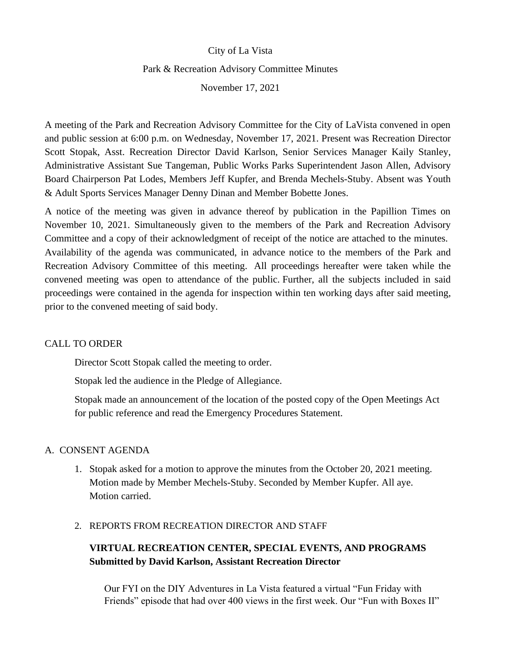## City of La Vista

#### Park & Recreation Advisory Committee Minutes

November 17, 2021

A meeting of the Park and Recreation Advisory Committee for the City of LaVista convened in open and public session at 6:00 p.m. on Wednesday, November 17, 2021. Present was Recreation Director Scott Stopak, Asst. Recreation Director David Karlson, Senior Services Manager Kaily Stanley, Administrative Assistant Sue Tangeman, Public Works Parks Superintendent Jason Allen, Advisory Board Chairperson Pat Lodes, Members Jeff Kupfer, and Brenda Mechels-Stuby. Absent was Youth & Adult Sports Services Manager Denny Dinan and Member Bobette Jones.

A notice of the meeting was given in advance thereof by publication in the Papillion Times on November 10, 2021. Simultaneously given to the members of the Park and Recreation Advisory Committee and a copy of their acknowledgment of receipt of the notice are attached to the minutes. Availability of the agenda was communicated, in advance notice to the members of the Park and Recreation Advisory Committee of this meeting. All proceedings hereafter were taken while the convened meeting was open to attendance of the public. Further, all the subjects included in said proceedings were contained in the agenda for inspection within ten working days after said meeting, prior to the convened meeting of said body.

## CALL TO ORDER

Director Scott Stopak called the meeting to order.

Stopak led the audience in the Pledge of Allegiance.

Stopak made an announcement of the location of the posted copy of the Open Meetings Act for public reference and read the Emergency Procedures Statement.

## A. CONSENT AGENDA

1. Stopak asked for a motion to approve the minutes from the October 20, 2021 meeting. Motion made by Member Mechels-Stuby. Seconded by Member Kupfer. All aye. Motion carried.

#### 2. REPORTS FROM RECREATION DIRECTOR AND STAFF

# **VIRTUAL RECREATION CENTER, SPECIAL EVENTS, AND PROGRAMS Submitted by David Karlson, Assistant Recreation Director**

Our FYI on the DIY Adventures in La Vista featured a virtual "Fun Friday with Friends" episode that had over 400 views in the first week. Our "Fun with Boxes II"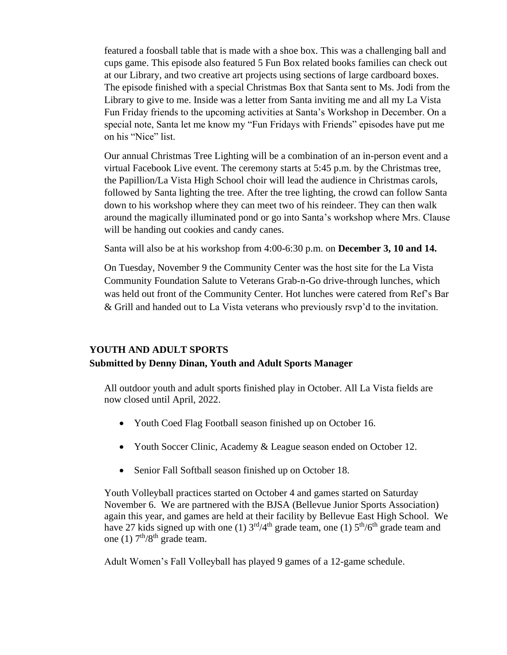featured a foosball table that is made with a shoe box. This was a challenging ball and cups game. This episode also featured 5 Fun Box related books families can check out at our Library, and two creative art projects using sections of large cardboard boxes. The episode finished with a special Christmas Box that Santa sent to Ms. Jodi from the Library to give to me. Inside was a letter from Santa inviting me and all my La Vista Fun Friday friends to the upcoming activities at Santa's Workshop in December. On a special note, Santa let me know my "Fun Fridays with Friends" episodes have put me on his "Nice" list.

Our annual Christmas Tree Lighting will be a combination of an in-person event and a virtual Facebook Live event. The ceremony starts at 5:45 p.m. by the Christmas tree, the Papillion/La Vista High School choir will lead the audience in Christmas carols, followed by Santa lighting the tree. After the tree lighting, the crowd can follow Santa down to his workshop where they can meet two of his reindeer. They can then walk around the magically illuminated pond or go into Santa's workshop where Mrs. Clause will be handing out cookies and candy canes.

Santa will also be at his workshop from 4:00-6:30 p.m. on **December 3, 10 and 14.**

On Tuesday, November 9 the Community Center was the host site for the La Vista Community Foundation Salute to Veterans Grab-n-Go drive-through lunches, which was held out front of the Community Center. Hot lunches were catered from Ref's Bar & Grill and handed out to La Vista veterans who previously rsvp'd to the invitation.

## **YOUTH AND ADULT SPORTS**

## **Submitted by Denny Dinan, Youth and Adult Sports Manager**

All outdoor youth and adult sports finished play in October. All La Vista fields are now closed until April, 2022.

- Youth Coed Flag Football season finished up on October 16.
- Youth Soccer Clinic, Academy & League season ended on October 12.
- Senior Fall Softball season finished up on October 18.

Youth Volleyball practices started on October 4 and games started on Saturday November 6. We are partnered with the BJSA (Bellevue Junior Sports Association) again this year, and games are held at their facility by Bellevue East High School. We have 27 kids signed up with one (1)  $3<sup>rd</sup>/4<sup>th</sup>$  grade team, one (1)  $5<sup>th</sup>/6<sup>th</sup>$  grade team and one (1)  $7<sup>th</sup>/8<sup>th</sup>$  grade team.

Adult Women's Fall Volleyball has played 9 games of a 12-game schedule.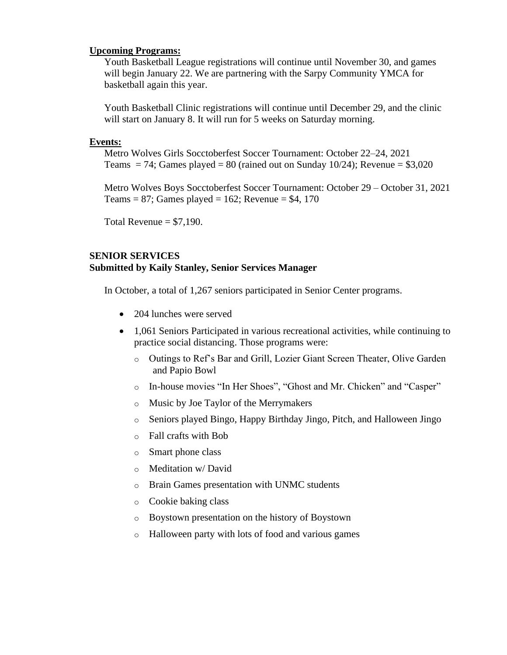#### **Upcoming Programs:**

Youth Basketball League registrations will continue until November 30, and games will begin January 22. We are partnering with the Sarpy Community YMCA for basketball again this year.

Youth Basketball Clinic registrations will continue until December 29, and the clinic will start on January 8. It will run for 5 weeks on Saturday morning.

#### **Events:**

Metro Wolves Girls Socctoberfest Soccer Tournament: October 22–24, 2021 Teams  $= 74$ ; Games played  $= 80$  (rained out on Sunday 10/24); Revenue  $= $3,020$ 

Metro Wolves Boys Socctoberfest Soccer Tournament: October 29 – October 31, 2021 Teams = 87; Games played = 162; Revenue = \$4, 170

Total Revenue  $= $7,190$ .

## **SENIOR SERVICES Submitted by Kaily Stanley, Senior Services Manager**

In October, a total of 1,267 seniors participated in Senior Center programs.

- 204 lunches were served
- 1,061 Seniors Participated in various recreational activities, while continuing to practice social distancing. Those programs were:
	- o Outings to Ref's Bar and Grill, Lozier Giant Screen Theater, Olive Garden and Papio Bowl
	- o In-house movies "In Her Shoes", "Ghost and Mr. Chicken" and "Casper"
	- o Music by Joe Taylor of the Merrymakers
	- o Seniors played Bingo, Happy Birthday Jingo, Pitch, and Halloween Jingo
	- o Fall crafts with Bob
	- o Smart phone class
	- o Meditation w/ David
	- o Brain Games presentation with UNMC students
	- o Cookie baking class
	- o Boystown presentation on the history of Boystown
	- o Halloween party with lots of food and various games